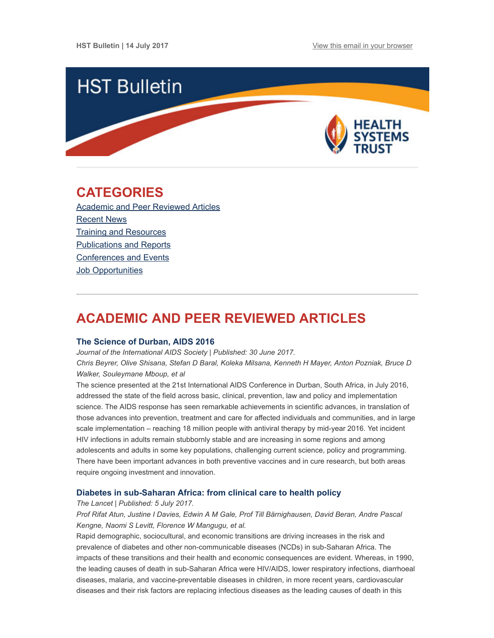

## <span id="page-0-1"></span>CATEGORIES

Academic and Peer [Reviewed](#page-0-0) Articles [Recent](#page-2-0) News Training and [Resources](#page-2-1) [Publications](#page-3-0) and Reports [Conferences](#page-3-1) and Events **Job [Opportunities](#page-4-0)** 

# <span id="page-0-0"></span>ACADEMIC AND PEER REVIEWED ARTICLES

#### The [Science](http://www.jiasociety.org/index.php/jias/article/view/21781/pdf) of Durban, AIDS 2016

Journal of the International AIDS Society | Published: 30 June 2017. Chris Beyrer, Olive Shisana, Stefan D Baral, Koleka Milsana, Kenneth H Mayer, Anton Pozniak, Bruce D Walker, Souleymane Mboup, et al

The science presented at the 21st International AIDS Conference in Durban, South Africa, in July 2016, addressed the state of the field across basic, clinical, prevention, law and policy and implementation science. The AIDS response has seen remarkable achievements in scientific advances, in translation of those advances into prevention, treatment and care for affected individuals and communities, and in large scale implementation – reaching 18 million people with antiviral therapy by mid-year 2016. Yet incident HIV infections in adults remain stubbornly stable and are increasing in some regions and among adolescents and adults in some key populations, challenging current science, policy and programming. There have been important advances in both preventive vaccines and in cure research, but both areas require ongoing investment and innovation.

#### Diabetes in [sub-Saharan](http://www.thelancet.com/journals/landia/article/PIIS2213-8587(17)30181-X/fulltext) Africa: from clinical care to health policy

#### The Lancet | Published: 5 July 2017.

Prof Rifat Atun, Justine I Davies, Edwin A M Gale, Prof Till Bärnighausen, David Beran, Andre Pascal Kengne, Naomi S Levitt, Florence W Mangugu, et al.

Rapid demographic, sociocultural, and economic transitions are driving increases in the risk and prevalence of diabetes and other non-communicable diseases (NCDs) in sub-Saharan Africa. The impacts of these transitions and their health and economic consequences are evident. Whereas, in 1990, the leading causes of death in sub-Saharan Africa were HIV/AIDS, lower respiratory infections, diarrhoeal diseases, malaria, and vaccine-preventable diseases in children, in more recent years, cardiovascular diseases and their risk factors are replacing infectious diseases as the leading causes of death in this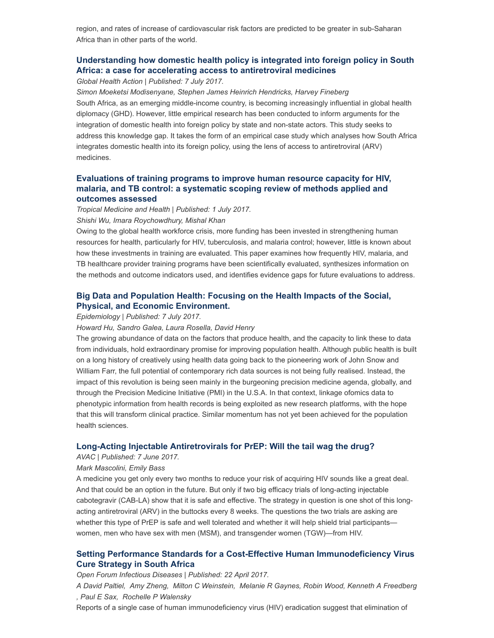region, and rates of increase of cardiovascular risk factors are predicted to be greater in sub-Saharan Africa than in other parts of the world.

## [Understanding](http://www.tandfonline.com/doi/full/10.1080/16549716.2017.1339533) how domestic health policy is integrated into foreign policy in South Africa: a case for accelerating access to antiretroviral medicines

Global Health Action | Published: 7 July 2017.

Simon Moeketsi Modisenyane, Stephen James Heinrich Hendricks, Harvey Fineberg South Africa, as an emerging middle-income country, is becoming increasingly influential in global health diplomacy (GHD). However, little empirical research has been conducted to inform arguments for the integration of domestic health into foreign policy by state and non-state actors. This study seeks to address this knowledge gap. It takes the form of an empirical case study which analyses how South Africa integrates domestic health into its foreign policy, using the lens of access to antiretroviral (ARV) medicines.

## [Evaluations](http://tropmedhealth.biomedcentral.com/articles/10.1186/s41182-017-0056-7) of training programs to improve human resource capacity for HIV, malaria, and TB control: a systematic scoping review of methods applied and outcomes assessed

Tropical Medicine and Health | Published: 1 July 2017. Shishi Wu, Imara Roychowdhury, Mishal Khan

Owing to the global health workforce crisis, more funding has been invested in strengthening human resources for health, particularly for HIV, tuberculosis, and malaria control; however, little is known about how these investments in training are evaluated. This paper examines how frequently HIV, malaria, and TB healthcare provider training programs have been scientifically evaluated, synthesizes information on the methods and outcome indicators used, and identifies evidence gaps for future evaluations to address.

## Big Data and Population Health: Focusing on the Health Impacts of the Social, Physical, and Economic [Environment.](http://journals.lww.com/epidem/Citation/publishahead/Big_Data_and_Population_Health___Focusing_on_the.98827.aspx)

Epidemiology | Published: 7 July 2017.

Howard Hu, Sandro Galea, Laura Rosella, David Henry

The growing abundance of data on the factors that produce health, and the capacity to link these to data from individuals, hold extraordinary promise for improving population health. Although public health is built on a long history of creatively using health data going back to the pioneering work of John Snow and William Farr, the full potential of contemporary rich data sources is not being fully realised. Instead, the impact of this revolution is being seen mainly in the burgeoning precision medicine agenda, globally, and through the Precision Medicine Initiative (PMI) in the U.S.A. In that context, linkage ofomics data to phenotypic information from health records is being exploited as new research platforms, with the hope that this will transform clinical practice. Similar momentum has not yet been achieved for the population health sciences.

#### Long-Acting Injectable [Antiretrovirals](http://www.avac.org/blog/long-acting-injectable-antiretrovirals-prep-will-tail-wag-drug) for PrEP: Will the tail wag the drug?

AVAC | Published: 7 June 2017.

#### Mark Mascolini, Emily Bass

A medicine you get only every two months to reduce your risk of acquiring HIV sounds like a great deal. And that could be an option in the future. But only if two big efficacy trials of long-acting injectable cabotegravir (CAB-LA) show that it is safe and effective. The strategy in question is one shot of this longacting antiretroviral (ARV) in the buttocks every 8 weeks. The questions the two trials are asking are whether this type of PrEP is safe and well tolerated and whether it will help shield trial participants women, men who have sex with men (MSM), and transgender women (TGW)—from HIV.

## Setting Performance Standards for a Cost-Effective Human [Immunodeficiency](https://academic.oup.com/ofid/article-lookup/doi/10.1093/ofid/ofx081) Virus Cure Strategy in South Africa

Open Forum Infectious Diseases | Published: 22 April 2017.

A David Paltiel, Amy Zheng, Milton C Weinstein, Melanie R Gaynes, Robin Wood, Kenneth A Freedberg , Paul E Sax, Rochelle P Walensky

Reports of a single case of human immunodeficiency virus (HIV) eradication suggest that elimination of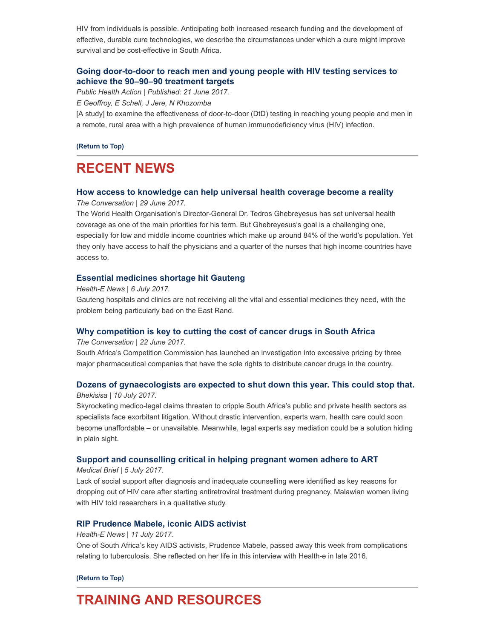HIV from individuals is possible. Anticipating both increased research funding and the development of effective, durable cure technologies, we describe the circumstances under which a cure might improve survival and be cost-effective in South Africa.

## Going [door-to-door](http://www.ingentaconnect.com/content/iuatld/pha/2017/00000007/00000002/art00007;jsessionid=72uad0iof2tlc.x-ic-live-02) to reach men and young people with HIV testing services to achieve the 90–90–90 treatment targets

Public Health Action | Published: 21 June 2017.

E Geoffroy, E Schell, J Jere, N Khozomba

[A study] to examine the effectiveness of door-to-door (DtD) testing in reaching young people and men in a remote, rural area with a high prevalence of human immunodeficiency virus (HIV) infection.

[\(Return](#page-0-1) to Top)

# <span id="page-2-0"></span>RECENT NEWS

#### How access to [knowledge](https://theconversation.com/how-access-to-knowledge-can-help-universal-health-coverage-become-a-reality-79126) can help universal health coverage become a reality

The Conversation | 29 June 2017.

The World Health Organisation's Director-General Dr. Tedros Ghebreyesus has set universal health coverage as one of the main priorities for his term. But Ghebreyesus's goal is a challenging one, especially for low and middle income countries which make up around 84% of the world's population. Yet they only have access to half the physicians and a quarter of the nurses that high income countries have access to.

## Essential [medicines](https://www.health-e.org.za/2017/07/06/essential-medication-shortage-gauteng-hospitals-clinics/) shortage hit Gauteng

Health-E News | 6 July 2017.

Gauteng hospitals and clinics are not receiving all the vital and essential medicines they need, with the problem being particularly bad on the East Rand.

## Why [competition](https://theconversation.com/why-competition-is-key-to-cutting-the-cost-of-cancer-drugs-in-south-africa-79768) is key to cutting the cost of cancer drugs in South Africa

The Conversation | 22 June 2017.

South Africa's Competition Commission has launched an investigation into excessive pricing by three major pharmaceutical companies that have the sole rights to distribute cancer drugs in the country.

## Dozens of [gynaecologists](http://bhekisisa.org/article/2017-07-10-00-could-mediation-cure-south-africas-medico-legal-woes) are expected to shut down this year. This could stop that.

Bhekisisa | 10 July 2017.

Skyrocketing medico-legal claims threaten to cripple South Africa's public and private health sectors as specialists face exorbitant litigation. Without drastic intervention, experts warn, health care could soon become unaffordable – or unavailable. Meanwhile, legal experts say mediation could be a solution hiding in plain sight.

## Support and [counselling](http://www.medicalbrief.co.za/archives/support-counselling-critical-helping-pregnant-women-adhere-art/) critical in helping pregnant women adhere to ART

Medical Brief | 5 July 2017.

Lack of social support after diagnosis and inadequate counselling were identified as key reasons for dropping out of HIV care after starting antiretroviral treatment during pregnancy, Malawian women living with HIV told researchers in a qualitative study.

## RIP [Prudence](https://www.health-e.org.za/2017/07/11/rip-prudence-mabele-iconic-aids-activist/) Mabele, iconic AIDS activist

#### Health-E News | 11 July 2017.

One of South Africa's key AIDS activists, Prudence Mabele, passed away this week from complications relating to tuberculosis. She reflected on her life in this interview with Health-e in late 2016.

#### [\(Return](#page-0-1) to Top)

# <span id="page-2-1"></span>TRAINING AND RESOURCES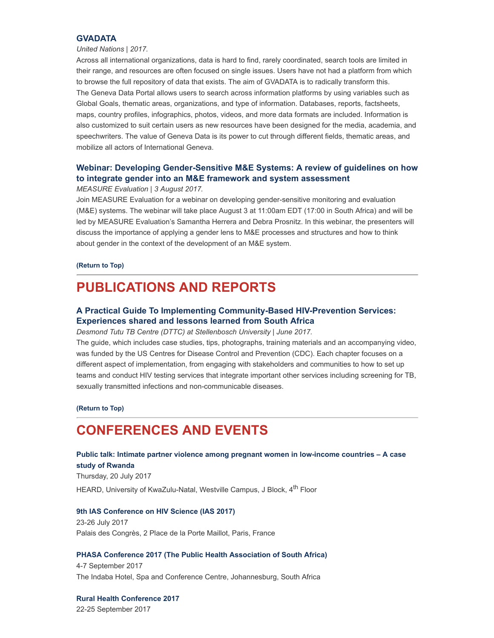#### **[GVADATA](http://gvadata.ch/)**

#### United Nations | 2017.

Across all international organizations, data is hard to find, rarely coordinated, search tools are limited in their range, and resources are often focused on single issues. Users have not had a platform from which to browse the full repository of data that exists. The aim of GVADATA is to radically transform this. The Geneva Data Portal allows users to search across information platforms by using variables such as Global Goals, thematic areas, organizations, and type of information. Databases, reports, factsheets, maps, country profiles, infographics, photos, videos, and more data formats are included. Information is also customized to suit certain users as new resources have been designed for the media, academia, and speechwriters. The value of Geneva Data is its power to cut through different fields, thematic areas, and mobilize all actors of International Geneva.

## Webinar: Developing [Gender-Sensitive](https://zoom.us/webinar/register/1340f384e02d565d34538d7d4481ef37) M&E Systems: A review of guidelines on how to integrate gender into an M&E framework and system assessment

#### MEASURE Evaluation | 3 August 2017.

Join MEASURE Evaluation for a webinar on developing gender-sensitive monitoring and evaluation (M&E) systems. The webinar will take place August 3 at 11:00am EDT (17:00 in South Africa) and will be led by MEASURE Evaluation's Samantha Herrera and Debra Prosnitz. In this webinar, the presenters will discuss the importance of applying a gender lens to M&E processes and structures and how to think about gender in the context of the development of an M&E system.

#### [\(Return](#page-0-1) to Top)

## <span id="page-3-0"></span>PUBLICATIONS AND REPORTS

## A Practical Guide To Implementing [Community-Based](http://www.sun.ac.za/english/faculty/healthsciences/paediatrics-and-child-health/Documents/SU%20HIV%20PREVENTION%20GUIDE_Website%20version_09%20JUne%202017.pdf) HIV-Prevention Services: Experiences shared and lessons learned from South Africa

Desmond Tutu TB Centre (DTTC) at Stellenbosch University | June 2017.

The guide, which includes case studies, tips, photographs, training materials and an accompanying video, was funded by the US Centres for Disease Control and Prevention (CDC). Each chapter focuses on a different aspect of implementation, from engaging with stakeholders and communities to how to set up teams and conduct HIV testing services that integrate important other services including screening for TB, sexually transmitted infections and non-communicable diseases.

#### [\(Return](#page-0-1) to Top)

## <span id="page-3-1"></span>CONFERENCES AND EVENTS

## Public talk: Intimate partner violence among pregnant women in [low-income](http://www.heard.org.za/news-post/public-talk-intimate-partner-violence-among-pregnant-women-in-low-income-countries/) countries – A case study of Rwanda

Thursday, 20 July 2017 HEARD, University of KwaZulu-Natal, Westville Campus, J Block, 4<sup>th</sup> Floor

#### 9th IAS [Conference](http://www.ias2017.org/) on HIV Science (IAS 2017)

23-26 July 2017 Palais des Congrès, 2 Place de la Porte Maillot, Paris, France

#### PHASA Conference 2017 (The Public Health [Association](http://www.phasaconference.org.za/) of South Africa)

4-7 September 2017 The Indaba Hotel, Spa and Conference Centre, Johannesburg, South Africa

Rural Health [Conference](http://ruralhealthconference.org.za/) 2017 22-25 September 2017